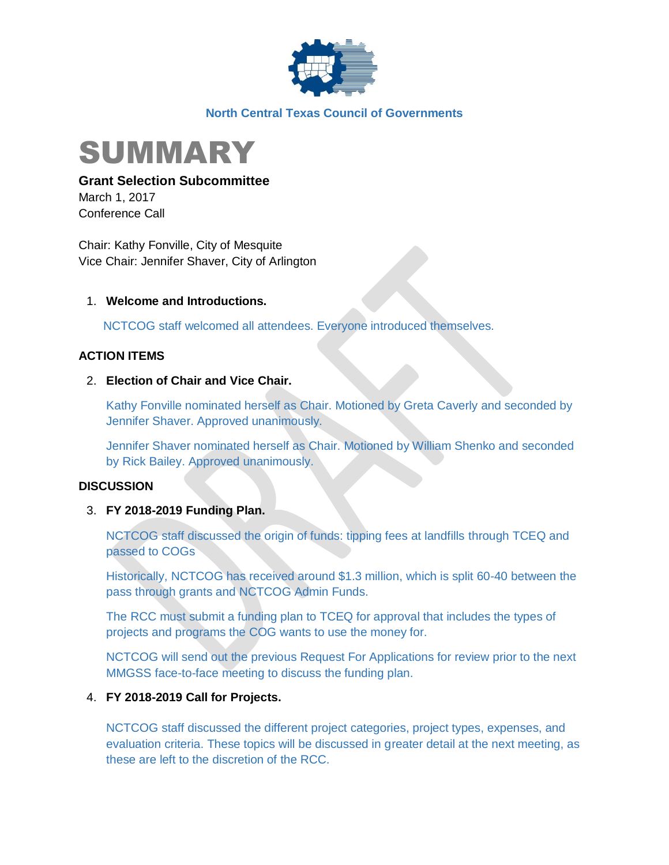

### **North Central Texas Council of Governments**



**Grant Selection Subcommittee**

March 1, 2017 Conference Call

Chair: Kathy Fonville, City of Mesquite Vice Chair: Jennifer Shaver, City of Arlington

# 1. **Welcome and Introductions.**

NCTCOG staff welcomed all attendees. Everyone introduced themselves.

# **ACTION ITEMS**

# 2. **Election of Chair and Vice Chair.**

Kathy Fonville nominated herself as Chair. Motioned by Greta Caverly and seconded by Jennifer Shaver. Approved unanimously.

Jennifer Shaver nominated herself as Chair. Motioned by William Shenko and seconded by Rick Bailey. Approved unanimously.

### **DISCUSSION**

### 3. **FY 2018-2019 Funding Plan.**

NCTCOG staff discussed the origin of funds: tipping fees at landfills through TCEQ and passed to COGs

Historically, NCTCOG has received around \$1.3 million, which is split 60-40 between the pass through grants and NCTCOG Admin Funds.

The RCC must submit a funding plan to TCEQ for approval that includes the types of projects and programs the COG wants to use the money for.

NCTCOG will send out the previous Request For Applications for review prior to the next MMGSS face-to-face meeting to discuss the funding plan.

### 4. **FY 2018-2019 Call for Projects.**

NCTCOG staff discussed the different project categories, project types, expenses, and evaluation criteria. These topics will be discussed in greater detail at the next meeting, as these are left to the discretion of the RCC.